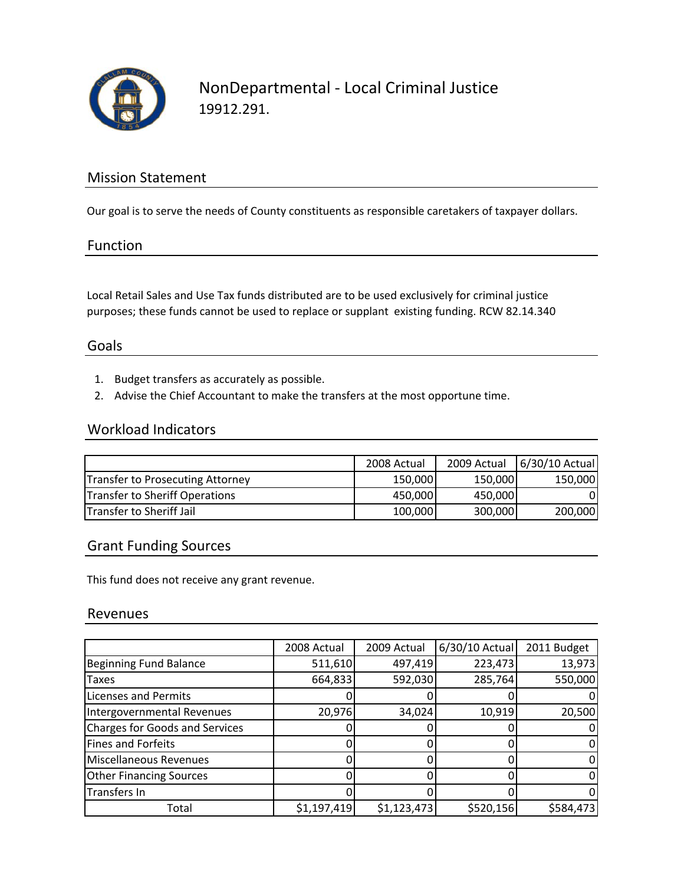

### Mission Statement

Our goal is to serve the needs of County constituents as responsible caretakers of taxpayer dollars.

#### Function

Local Retail Sales and Use Tax funds distributed are to be used exclusively for criminal justice purposes; these funds cannot be used to replace or supplant existing funding. RCW 82.14.340

#### Goals

- 1. Budget transfers as accurately as possible.
- 2. Advise the Chief Accountant to make the transfers at the most opportune time.

## Workload Indicators

|                                  | 2008 Actual | 2009 Actual | 6/30/10 Actual |
|----------------------------------|-------------|-------------|----------------|
| Transfer to Prosecuting Attorney | 150,000     | 150,000     | 150,000        |
| Transfer to Sheriff Operations   | 450,000     | 450,000     |                |
| <b>Transfer to Sheriff Jail</b>  | 100,000     | 300,000     | 200,000        |

### Grant Funding Sources

This fund does not receive any grant revenue.

#### Revenues

|                                       | 2008 Actual | 2009 Actual | 6/30/10 Actual | 2011 Budget |
|---------------------------------------|-------------|-------------|----------------|-------------|
| <b>Beginning Fund Balance</b>         | 511,610     | 497,419     | 223,473        | 13,973      |
| <b>Taxes</b>                          | 664,833     | 592,030     | 285,764        | 550,000     |
| <b>Licenses and Permits</b>           |             |             |                |             |
| Intergovernmental Revenues            | 20,976      | 34,024      | 10,919         | 20,500      |
| <b>Charges for Goods and Services</b> |             |             |                |             |
| Fines and Forfeits                    |             |             |                |             |
| Miscellaneous Revenues                |             |             |                |             |
| <b>Other Financing Sources</b>        |             |             |                |             |
| Transfers In                          |             |             |                |             |
| Total                                 | \$1,197,419 | \$1,123,473 | \$520,156      | \$584,473   |